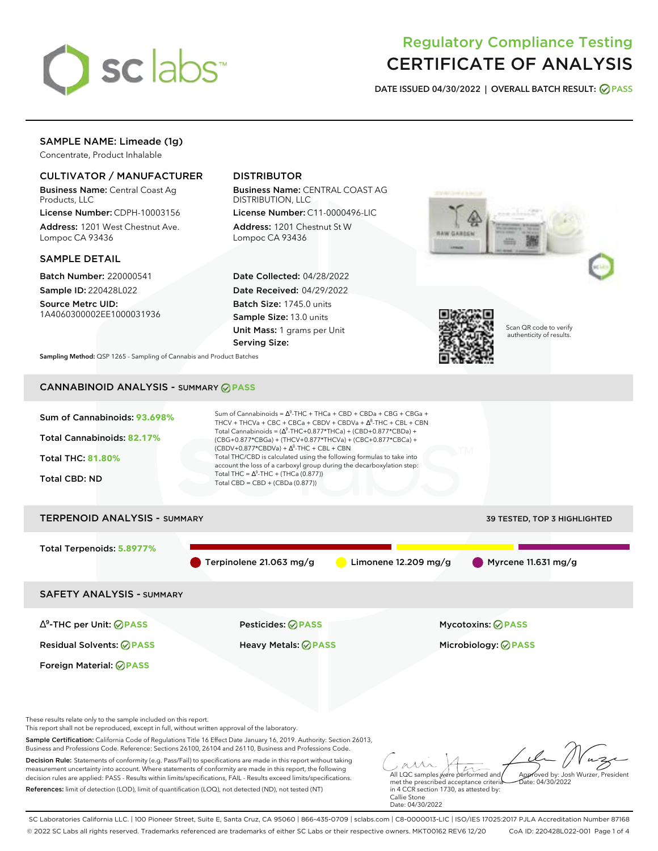

# Regulatory Compliance Testing CERTIFICATE OF ANALYSIS

**DATE ISSUED 04/30/2022 | OVERALL BATCH RESULT: PASS**

### SAMPLE NAME: Limeade (1g)

Concentrate, Product Inhalable

### CULTIVATOR / MANUFACTURER

Business Name: Central Coast Ag Products, LLC

License Number: CDPH-10003156 Address: 1201 West Chestnut Ave. Lompoc CA 93436

### SAMPLE DETAIL

Batch Number: 220000541 Sample ID: 220428L022

Source Metrc UID: 1A4060300002EE1000031936

## DISTRIBUTOR

Business Name: CENTRAL COAST AG DISTRIBUTION, LLC

License Number: C11-0000496-LIC Address: 1201 Chestnut St W Lompoc CA 93436

Date Collected: 04/28/2022 Date Received: 04/29/2022 Batch Size: 1745.0 units Sample Size: 13.0 units Unit Mass: 1 grams per Unit Serving Size:



Scan QR code to verify authenticity of results.

**Sampling Method:** QSP 1265 - Sampling of Cannabis and Product Batches

# CANNABINOID ANALYSIS - SUMMARY **PASS**



Sample Certification: California Code of Regulations Title 16 Effect Date January 16, 2019. Authority: Section 26013, Business and Professions Code. Reference: Sections 26100, 26104 and 26110, Business and Professions Code. Decision Rule: Statements of conformity (e.g. Pass/Fail) to specifications are made in this report without taking

measurement uncertainty into account. Where statements of conformity are made in this report, the following decision rules are applied: PASS - Results within limits/specifications, FAIL - Results exceed limits/specifications. References: limit of detection (LOD), limit of quantification (LOQ), not detected (ND), not tested (NT)

All LQC samples were performed and met the prescribed acceptance criteria Approved by: Josh Wurzer, President  $ate: 04/30/2022$ 

in 4 CCR section 1730, as attested by: Callie Stone Date: 04/30/2022

SC Laboratories California LLC. | 100 Pioneer Street, Suite E, Santa Cruz, CA 95060 | 866-435-0709 | sclabs.com | C8-0000013-LIC | ISO/IES 17025:2017 PJLA Accreditation Number 87168 © 2022 SC Labs all rights reserved. Trademarks referenced are trademarks of either SC Labs or their respective owners. MKT00162 REV6 12/20 CoA ID: 220428L022-001 Page 1 of 4